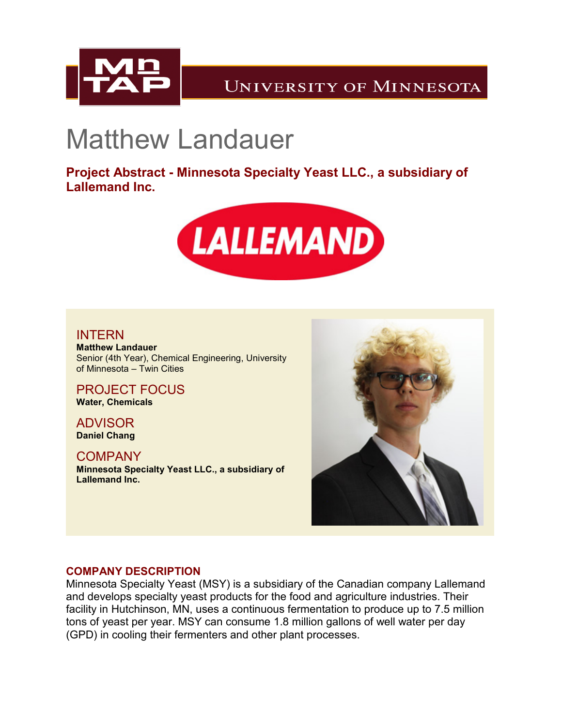

# Matthew Landauer

**Project Abstract - Minnesota Specialty Yeast LLC., a subsidiary of Lallemand Inc.**



## INTERN

**Matthew Landauer** Senior (4th Year), Chemical Engineering, University of Minnesota – Twin Cities

PROJECT FOCUS **Water, Chemicals**

ADVISOR **Daniel Chang**

**COMPANY Minnesota Specialty Yeast LLC., a subsidiary of Lallemand Inc.**



### **COMPANY DESCRIPTION**

Minnesota Specialty Yeast (MSY) is a subsidiary of the Canadian company Lallemand and develops specialty yeast products for the food and agriculture industries. Their facility in Hutchinson, MN, uses a continuous fermentation to produce up to 7.5 million tons of yeast per year. MSY can consume 1.8 million gallons of well water per day (GPD) in cooling their fermenters and other plant processes.